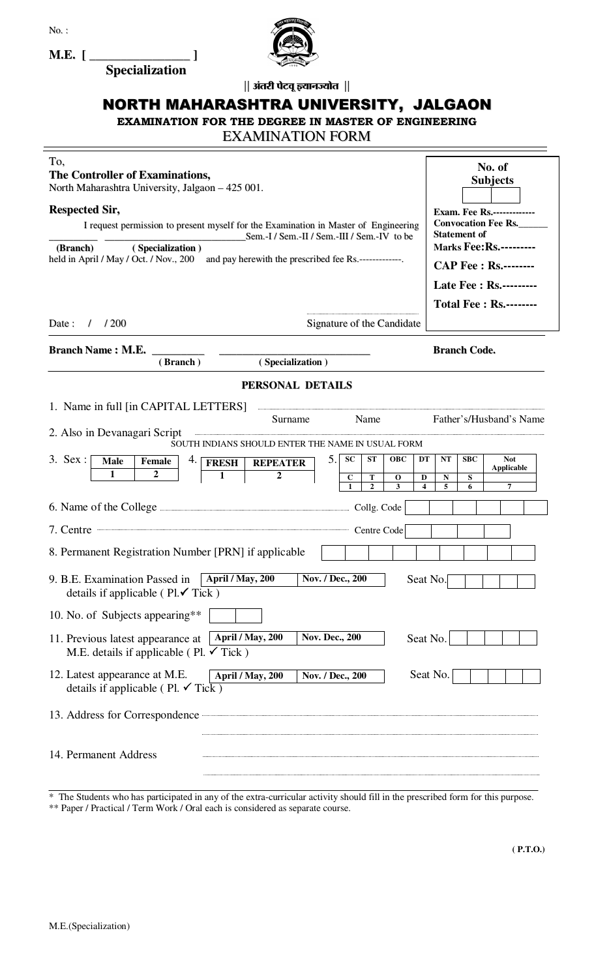

| $M.E.$ [                                                                                                                                                                            |                                                         |  |  |  |  |  |  |
|-------------------------------------------------------------------------------------------------------------------------------------------------------------------------------------|---------------------------------------------------------|--|--|--|--|--|--|
| <b>Specialization</b><br>   अंतरी पेटवू ज्ञ्यानज्योत                                                                                                                                |                                                         |  |  |  |  |  |  |
| NORTH MAHARASHTRA UNIVERSITY, JALGAON                                                                                                                                               |                                                         |  |  |  |  |  |  |
| <b>EXAMINATION FOR THE DEGREE IN MASTER OF ENGINEERING</b>                                                                                                                          |                                                         |  |  |  |  |  |  |
| <b>EXAMINATION FORM</b>                                                                                                                                                             |                                                         |  |  |  |  |  |  |
| To,                                                                                                                                                                                 | No. of                                                  |  |  |  |  |  |  |
| The Controller of Examinations,<br>North Maharashtra University, Jalgaon - 425 001.                                                                                                 | <b>Subjects</b>                                         |  |  |  |  |  |  |
| <b>Respected Sir,</b>                                                                                                                                                               | <b>Exam. Fee Rs.-------------</b>                       |  |  |  |  |  |  |
| I request permission to present myself for the Examination in Master of Engineering<br>Sem.-I / Sem.-II / Sem.-III / Sem.-IV to be                                                  | <b>Convocation Fee Rs.</b><br><b>Statement of</b>       |  |  |  |  |  |  |
| (Branch)<br>(Specialization)<br>held in April / May / Oct. / Nov., 200<br>and pay herewith the prescribed fee Rs.-------------                                                      | <b>Marks Fee: Rs.---------</b>                          |  |  |  |  |  |  |
|                                                                                                                                                                                     | <b>CAP Fee : Rs.--------</b><br>Late Fee : Rs.--------- |  |  |  |  |  |  |
|                                                                                                                                                                                     | <b>Total Fee: Rs.--------</b>                           |  |  |  |  |  |  |
| $/$ /200<br>Signature of the Candidate<br>Date :                                                                                                                                    |                                                         |  |  |  |  |  |  |
| <b>Branch Name: M.E.</b><br>(Specialization)<br>(Branch)                                                                                                                            | <b>Branch Code.</b>                                     |  |  |  |  |  |  |
| PERSONAL DETAILS                                                                                                                                                                    |                                                         |  |  |  |  |  |  |
| 1. Name in full [in CAPITAL LETTERS]                                                                                                                                                |                                                         |  |  |  |  |  |  |
| Name<br>Surname<br>2. Also in Devanagari Script                                                                                                                                     | Father's/Husband's Name                                 |  |  |  |  |  |  |
| SOUTH INDIANS SHOULD ENTER THE NAME IN USUAL FORM<br>3. Sex:<br>5.1<br><b>SC</b><br><b>ST</b><br><b>OBC</b><br>DT<br>4.<br><b>Male</b><br>Female<br><b>FRESH</b><br><b>REPEATER</b> | NT<br><b>SBC</b><br><b>Not</b>                          |  |  |  |  |  |  |
| 1<br>2<br>1<br>2<br>$\mathbf{C}$<br>T<br>D<br>$\mathbf{o}$<br>2<br>3                                                                                                                | Applicable<br>S<br>N<br>5<br>7<br>6                     |  |  |  |  |  |  |
| 6. Name of the College <b>Example 2018</b> Code                                                                                                                                     |                                                         |  |  |  |  |  |  |
| Centre Code<br>7. Centre                                                                                                                                                            |                                                         |  |  |  |  |  |  |
| 8. Permanent Registration Number [PRN] if applicable                                                                                                                                |                                                         |  |  |  |  |  |  |
| April / May, 200<br>Nov. / Dec., 200<br>9. B.E. Examination Passed in<br>Seat No.<br>details if applicable ( $\text{Pl.} \checkmark$ )                                              |                                                         |  |  |  |  |  |  |
| 10. No. of Subjects appearing**                                                                                                                                                     |                                                         |  |  |  |  |  |  |
| April / May, 200<br><b>Nov. Dec., 200</b><br>Seat No.<br>11. Previous latest appearance at<br>M.E. details if applicable (Pl. $\checkmark$ Tick)                                    |                                                         |  |  |  |  |  |  |
| 12. Latest appearance at M.E.<br>April / May, 200<br>Nov. / Dec., 200<br>details if applicable (Pl. $\checkmark$ Tick)                                                              | Seat No.                                                |  |  |  |  |  |  |
| 13. Address for Correspondence <b>Communication</b>                                                                                                                                 |                                                         |  |  |  |  |  |  |
| 14. Permanent Address                                                                                                                                                               |                                                         |  |  |  |  |  |  |

<sup>\*</sup> The Students who has participated in any of the extra-curricular activity should fill in the prescribed form for this purpose.

<sup>\*\*</sup> Paper / Practical / Term Work / Oral each is considered as separate course.